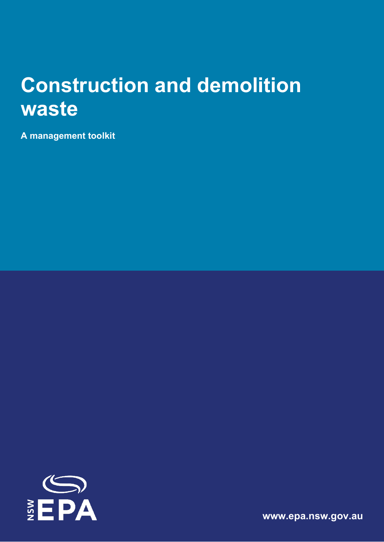# **Construction and demolition waste**

**A management toolkit**



**[www.epa.nsw.gov.au](http://www.epa.nsw.gov.au/)**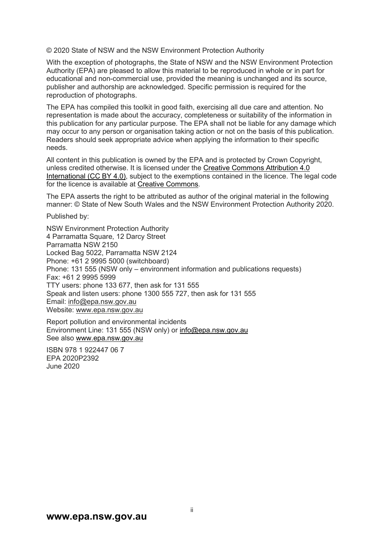© 2020 State of NSW and the NSW Environment Protection Authority

With the exception of photographs, the State of NSW and the NSW Environment Protection Authority (EPA) are pleased to allow this material to be reproduced in whole or in part for educational and non-commercial use, provided the meaning is unchanged and its source, publisher and authorship are acknowledged. Specific permission is required for the reproduction of photographs.

The EPA has compiled this toolkit in good faith, exercising all due care and attention. No representation is made about the accuracy, completeness or suitability of the information in this publication for any particular purpose. The EPA shall not be liable for any damage which may occur to any person or organisation taking action or not on the basis of this publication. Readers should seek appropriate advice when applying the information to their specific needs.

All content in this publication is owned by the EPA and is protected by Crown Copyright, unless credited otherwise. It is licensed under the [Creative Commons Attribution 4.0](http://creativecommons.org/licenses/by/4.0/deed.en)  [International \(CC BY 4.0\),](http://creativecommons.org/licenses/by/4.0/deed.en) subject to the exemptions contained in the licence. The legal code for the licence is available at [Creative Commons.](http://creativecommons.org/licenses/by/4.0/legalcode)

The EPA asserts the right to be attributed as author of the original material in the following manner: © State of New South Wales and the NSW Environment Protection Authority 2020.

Published by:

NSW Environment Protection Authority 4 Parramatta Square, 12 Darcy Street Parramatta NSW 2150 Locked Bag 5022, Parramatta NSW 2124 Phone: +61 2 9995 5000 (switchboard) Phone: 131 555 (NSW only – environment information and publications requests) Fax: +61 2 9995 5999 TTY users: phone 133 677, then ask for 131 555 Speak and listen users: phone 1300 555 727, then ask for 131 555 Email: [info@epa.nsw.gov.au](mailto:info@epa.nsw.gov.au)  Website: [www.epa.nsw.gov.au](http://www.epa.nsw.gov.au/)

Report pollution and environmental incidents Environment Line: 131 555 (NSW only) or [info@epa.nsw.gov.au](mailto:info@epa.nsw.gov.au) See also [www.epa.nsw.gov.au](http://www.epa.nsw.gov.au/) 

ISBN 978 1 922447 06 7 EPA 2020P2392 June 2020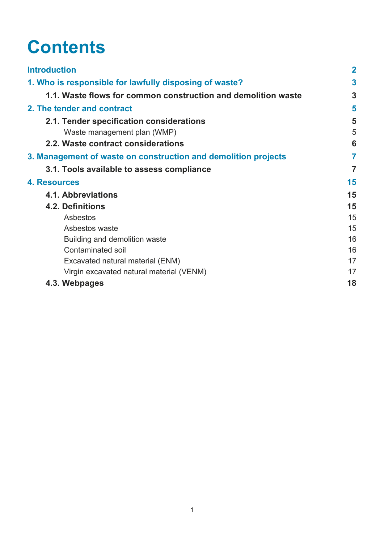# **Contents**

| <b>Introduction</b>                                            | $\mathbf 2$    |
|----------------------------------------------------------------|----------------|
| 1. Who is responsible for lawfully disposing of waste?         | 3              |
| 1.1. Waste flows for common construction and demolition waste  | 3              |
| 2. The tender and contract                                     | 5              |
| 2.1. Tender specification considerations                       | 5              |
| Waste management plan (WMP)                                    | 5              |
| 2.2. Waste contract considerations                             | 6              |
| 3. Management of waste on construction and demolition projects | 7              |
| 3.1. Tools available to assess compliance                      | $\overline{7}$ |
| 4. Resources                                                   | 15             |
| <b>4.1. Abbreviations</b>                                      | 15             |
| 4.2. Definitions                                               | 15             |
| Asbestos                                                       | 15             |
| Asbestos waste                                                 | 15             |
| Building and demolition waste                                  | 16             |
| <b>Contaminated soil</b>                                       | 16             |
| Excavated natural material (ENM)                               | 17             |
| Virgin excavated natural material (VENM)                       | 17             |
| 4.3. Webpages                                                  | 18             |
|                                                                |                |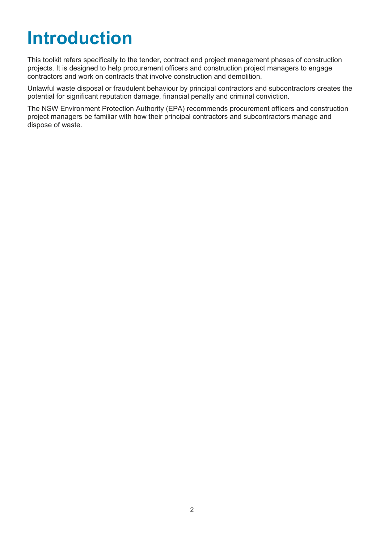# <span id="page-3-0"></span>**Introduction**

This toolkit refers specifically to the tender, contract and project management phases of construction projects. It is designed to help procurement officers and construction project managers to engage contractors and work on contracts that involve construction and demolition.

Unlawful waste disposal or fraudulent behaviour by principal contractors and subcontractors creates the potential for significant reputation damage, financial penalty and criminal conviction.

The NSW Environment Protection Authority (EPA) recommends procurement officers and construction project managers be familiar with how their principal contractors and subcontractors manage and dispose of waste.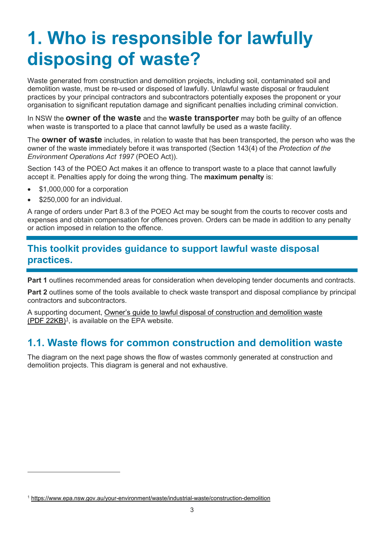# <span id="page-4-0"></span>**1. Who is responsible for lawfully disposing of waste?**

Waste generated from construction and demolition projects, including soil, contaminated soil and demolition waste, must be re-used or disposed of lawfully. Unlawful waste disposal or fraudulent practices by your principal contractors and subcontractors potentially exposes the proponent or your organisation to significant reputation damage and significant penalties including criminal conviction.

In NSW the **owner of the waste** and the **waste transporter** may both be guilty of an offence when waste is transported to a place that cannot lawfully be used as a waste facility.

The **owner of waste** includes, in relation to waste that has been transported, the person who was the owner of the waste immediately before it was transported (Section 143(4) of the *Protection of the Environment Operations Act 1997* (POEO Act)).

Section 143 of the POEO Act makes it an offence to transport waste to a place that cannot lawfully accept it. Penalties apply for doing the wrong thing. The **maximum penalty** is:

- \$1,000,000 for a corporation
- \$250,000 for an individual.

A range of orders under Part 8.3 of the POEO Act may be sought from the courts to recover costs and expenses and obtain compensation for offences proven. Orders can be made in addition to any penalty or action imposed in relation to the offence.

### **This toolkit provides guidance to support lawful waste disposal practices.**

**Part 1** outlines recommended areas for consideration when developing tender documents and contracts.

**Part 2** outlines some of the tools available to check waste transport and disposal compliance by principal contractors and subcontractors.

A supporting document, [Owner's guide to lawful disposal of construction and demolition waste](https://www.epa.nsw.gov.au/your-environment/waste/industrial-waste/construction-demolition)  $(PDF 22KB)^1$  $(PDF 22KB)^1$ , is available on the EPA website.

## <span id="page-4-1"></span>**1.1. Waste flows for common construction and demolition waste**

The diagram on the next page shows the flow of wastes commonly generated at construction and demolition projects. This diagram is general and not exhaustive.

<span id="page-4-2"></span><sup>1</sup> <https://www.epa.nsw.gov.au/your-environment/waste/industrial-waste/construction-demolition>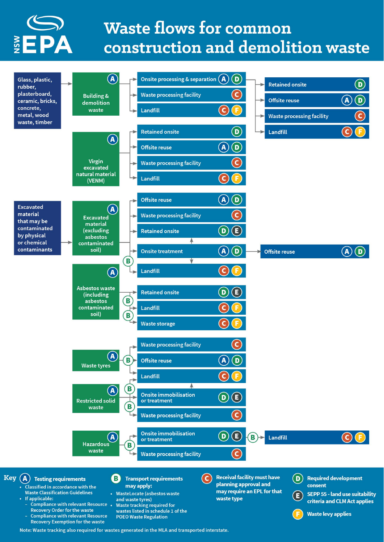

# **Waste flows for common** construction and demolition waste

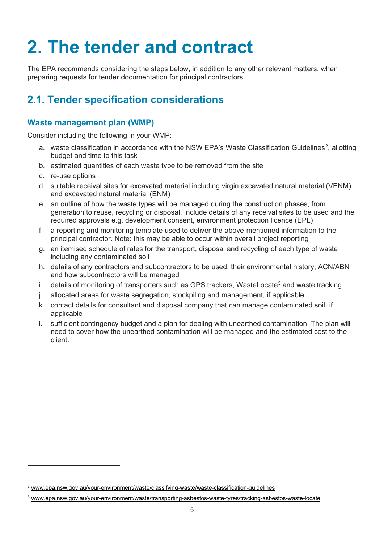# <span id="page-6-0"></span>**2. The tender and contract**

The EPA recommends considering the steps below, in addition to any other relevant matters, when preparing requests for tender documentation for principal contractors.

## <span id="page-6-1"></span>**2.1. Tender specification considerations**

### <span id="page-6-2"></span>**Waste management plan (WMP)**

Consider including the following in your WMP:

- a.  $\,$  waste classification in accordance with the NSW EPA's [Waste Classification Guidelines](http://www.epa.nsw.gov.au/your-environment/waste/classifying-waste/waste-classification-guidelines) $^2$  $^2$ , allotting budget and time to this task
- b. estimated quantities of each waste type to be removed from the site
- c. re-use options
- d. suitable receival sites for excavated material including virgin excavated natural material (VENM) and excavated natural material (ENM)
- e. an outline of how the waste types will be managed during the construction phases, from generation to reuse, recycling or disposal. Include details of any receival sites to be used and the required approvals e.g. development consent, environment protection licence (EPL)
- f. a reporting and monitoring template used to deliver the above-mentioned information to the principal contractor. Note: this may be able to occur within overall project reporting
- g. an itemised schedule of rates for the transport, disposal and recycling of each type of waste including any contaminated soil
- h. details of any contractors and subcontractors to be used, their environmental history, ACN/ABN and how subcontractors will be managed
- i. details of monitoring of transporters such as GPS trackers, [WasteLocate](http://www.epa.nsw.gov.au/your-environment/waste/transporting-asbestos-waste-tyres/tracking-asbestos-waste-locate)<sup>[3](#page-6-4)</sup> and waste tracking
- j. allocated areas for waste segregation, stockpiling and management, if applicable
- k. contact details for consultant and disposal company that can manage contaminated soil, if applicable
- l. sufficient contingency budget and a plan for dealing with unearthed contamination. The plan will need to cover how the unearthed contamination will be managed and the estimated cost to the client.

<span id="page-6-3"></span><sup>2</sup> [www.epa.nsw.gov.au/your-environment/waste/classifying-waste/waste-classification-guidelines](http://www.epa.nsw.gov.au/your-environment/waste/classifying-waste/waste-classification-guidelines)

<span id="page-6-4"></span><sup>3</sup> [www.epa.nsw.gov.au/your-environment/waste/transporting-asbestos-waste-tyres/tracking-asbestos-waste-locate](http://www.epa.nsw.gov.au/your-environment/waste/transporting-asbestos-waste-tyres/tracking-asbestos-waste-locate)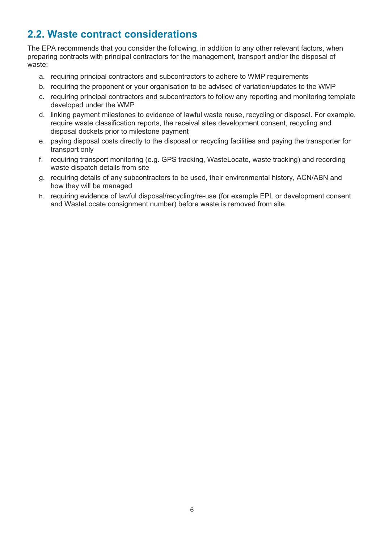## <span id="page-7-0"></span>**2.2. Waste contract considerations**

The EPA recommends that you consider the following, in addition to any other relevant factors, when preparing contracts with principal contractors for the management, transport and/or the disposal of waste:

- a. requiring principal contractors and subcontractors to adhere to WMP requirements
- b. requiring the proponent or your organisation to be advised of variation/updates to the WMP
- c. requiring principal contractors and subcontractors to follow any reporting and monitoring template developed under the WMP
- d. linking payment milestones to evidence of lawful waste reuse, recycling or disposal. For example, require waste classification reports, the receival sites development consent, recycling and disposal dockets prior to milestone payment
- e. paying disposal costs directly to the disposal or recycling facilities and paying the transporter for transport only
- f. requiring transport monitoring (e.g. GPS tracking, WasteLocate, waste tracking) and recording waste dispatch details from site
- g. requiring details of any subcontractors to be used, their environmental history, ACN/ABN and how they will be managed
- h. requiring evidence of lawful disposal/recycling/re-use (for example EPL or development consent and WasteLocate consignment number) before waste is removed from site.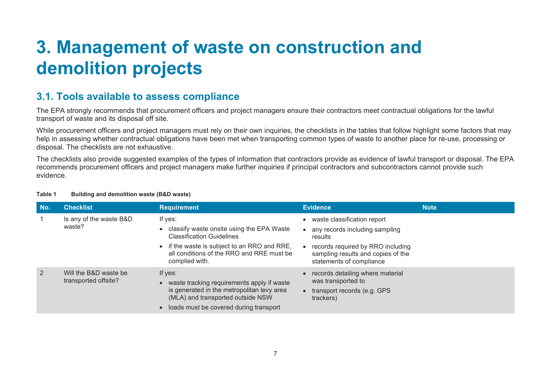# **3. Management of waste on construction and demolition projects**

## **3.1. Tools available to assess compliance**

The EPA strongly recommends that procurement officers and project managers ensure their contractors meet contractual obligations for the lawful transport of waste and its disposal off site.

While procurement officers and project managers must rely on their own inquiries, the checklists in the tables that follow highlight some factors that may help in assessing whether contractual obligations have been met when transporting common types of waste to another place for re-use, processing or disposal. The checklists are not exhaustive.

The checklists also provide suggested examples of the types of information that contractors provide as evidence of lawful transport or disposal. The EPA recommends procurement officers and project managers make further inquiries if principal contractors and subcontractors cannot provide such evidence.

<span id="page-8-1"></span>

| No.            | <b>Checklist</b>                              | <b>Requirement</b>                                                                                                                                                                                                              | <b>Evidence</b>                                                                                                                                                                 | <b>Note</b> |
|----------------|-----------------------------------------------|---------------------------------------------------------------------------------------------------------------------------------------------------------------------------------------------------------------------------------|---------------------------------------------------------------------------------------------------------------------------------------------------------------------------------|-------------|
|                | Is any of the waste B&D<br>waste?             | If yes:<br>classify waste onsite using the EPA Waste<br>$\bullet$<br><b>Classification Guidelines</b><br>if the waste is subject to an RRO and RRE,<br>$\bullet$<br>all conditions of the RRO and RRE must be<br>complied with. | waste classification report<br>any records including sampling<br>results<br>records required by RRO including<br>sampling results and copies of the<br>statements of compliance |             |
| $\overline{2}$ | Will the B&D waste be<br>transported offsite? | If yes:<br>waste tracking requirements apply if waste<br>$\bullet$<br>is generated in the metropolitan levy area<br>(MLA) and transported outside NSW<br>loads must be covered during transport<br>$\bullet$                    | records detailing where material<br>was transported to<br>$\bullet$ transport records (e.g. GPS<br>trackers)                                                                    |             |

#### <span id="page-8-0"></span>**Table 1 Building and demolition waste (B&D waste)**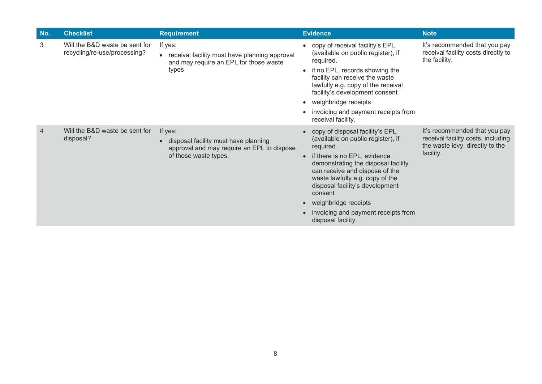| No. | <b>Checklist</b>                                               | <b>Requirement</b>                                                                                                                  | <b>Evidence</b>                                                                                                                                                                                                                                                                                                                                                       | <b>Note</b>                                                                                                         |
|-----|----------------------------------------------------------------|-------------------------------------------------------------------------------------------------------------------------------------|-----------------------------------------------------------------------------------------------------------------------------------------------------------------------------------------------------------------------------------------------------------------------------------------------------------------------------------------------------------------------|---------------------------------------------------------------------------------------------------------------------|
| 3   | Will the B&D waste be sent for<br>recycling/re-use/processing? | If yes:<br>• receival facility must have planning approval<br>and may require an EPL for those waste<br>types                       | • copy of receival facility's EPL<br>(available on public register), if<br>required.<br>• if no EPL, records showing the<br>facility can receive the waste<br>lawfully e.g. copy of the receival<br>facility's development consent<br>• weighbridge receipts<br>invoicing and payment receipts from<br>receival facility.                                             | It's recommended that you pay<br>receival facility costs directly to<br>the facility.                               |
| 4   | Will the B&D waste be sent for<br>disposal?                    | If yes:<br>disposal facility must have planning<br>$\bullet$<br>approval and may require an EPL to dispose<br>of those waste types. | • copy of disposal facility's EPL<br>(available on public register), if<br>required.<br>if there is no EPL, evidence<br>demonstrating the disposal facility<br>can receive and dispose of the<br>waste lawfully e.g. copy of the<br>disposal facility's development<br>consent<br>• weighbridge receipts<br>invoicing and payment receipts from<br>disposal facility. | It's recommended that you pay<br>receival facility costs, including<br>the waste levy, directly to the<br>facility. |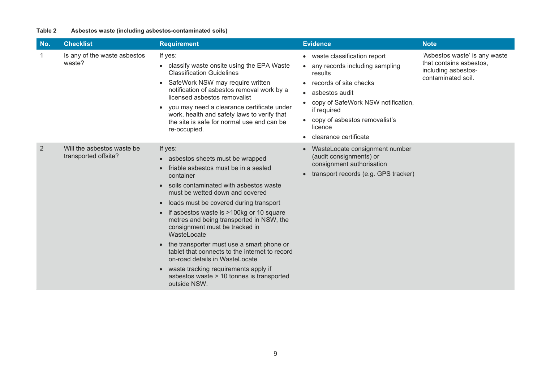#### **Table 2 Asbestos waste (including asbestos-contaminated soils)**

| No.            | <b>Checklist</b>                                   | <b>Requirement</b>                                                                                                                                                                                                                                                                                                                                                                                                                                                                                                                                                                                                                                                       | <b>Evidence</b>                                                                                                                                                                                                                                               | <b>Note</b>                                                                                           |
|----------------|----------------------------------------------------|--------------------------------------------------------------------------------------------------------------------------------------------------------------------------------------------------------------------------------------------------------------------------------------------------------------------------------------------------------------------------------------------------------------------------------------------------------------------------------------------------------------------------------------------------------------------------------------------------------------------------------------------------------------------------|---------------------------------------------------------------------------------------------------------------------------------------------------------------------------------------------------------------------------------------------------------------|-------------------------------------------------------------------------------------------------------|
| 1              | Is any of the waste asbestos<br>waste?             | If yes:<br>classify waste onsite using the EPA Waste<br>$\bullet$<br><b>Classification Guidelines</b><br>SafeWork NSW may require written<br>$\bullet$<br>notification of asbestos removal work by a<br>licensed asbestos removalist<br>you may need a clearance certificate under<br>$\bullet$<br>work, health and safety laws to verify that<br>the site is safe for normal use and can be<br>re-occupied.                                                                                                                                                                                                                                                             | • waste classification report<br>any records including sampling<br>results<br>records of site checks<br>asbestos audit<br>$\bullet$<br>copy of SafeWork NSW notification,<br>if required<br>copy of asbestos removalist's<br>licence<br>clearance certificate | 'Asbestos waste' is any waste<br>that contains asbestos.<br>including asbestos-<br>contaminated soil. |
| $\overline{2}$ | Will the asbestos waste be<br>transported offsite? | If yes:<br>• asbestos sheets must be wrapped<br>friable asbestos must be in a sealed<br>$\bullet$<br>container<br>soils contaminated with asbestos waste<br>must be wetted down and covered<br>loads must be covered during transport<br>$\bullet$<br>if asbestos waste is >100kg or 10 square<br>$\bullet$<br>metres and being transported in NSW, the<br>consignment must be tracked in<br>WasteLocate<br>the transporter must use a smart phone or<br>$\bullet$<br>tablet that connects to the internet to record<br>on-road details in WasteLocate<br>waste tracking requirements apply if<br>$\bullet$<br>asbestos waste > 10 tonnes is transported<br>outside NSW. | WasteLocate consignment number<br>(audit consignments) or<br>consignment authorisation<br>transport records (e.g. GPS tracker)                                                                                                                                |                                                                                                       |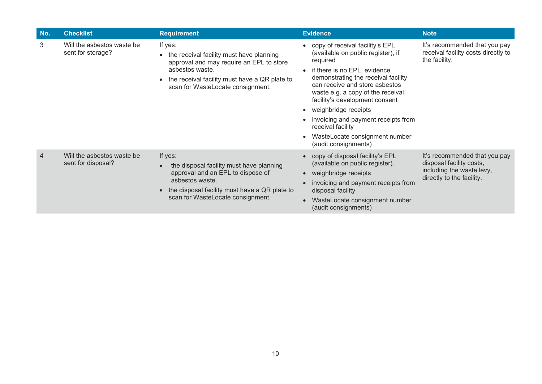| No.            | <b>Checklist</b>                                 | <b>Requirement</b>                                                                                                                                                                                       | <b>Evidence</b>                                                                                                                                                                                                                                                                                                                                                                                                              | <b>Note</b>                                                                                                         |
|----------------|--------------------------------------------------|----------------------------------------------------------------------------------------------------------------------------------------------------------------------------------------------------------|------------------------------------------------------------------------------------------------------------------------------------------------------------------------------------------------------------------------------------------------------------------------------------------------------------------------------------------------------------------------------------------------------------------------------|---------------------------------------------------------------------------------------------------------------------|
| 3              | Will the asbestos waste be<br>sent for storage?  | If yes:<br>the receival facility must have planning<br>approval and may require an EPL to store<br>asbestos waste.<br>the receival facility must have a QR plate to<br>scan for WasteLocate consignment. | copy of receival facility's EPL<br>(available on public register), if<br>required<br>if there is no EPL, evidence<br>demonstrating the receival facility<br>can receive and store asbestos<br>waste e.g. a copy of the receival<br>facility's development consent<br>weighbridge receipts<br>$\bullet$<br>invoicing and payment receipts from<br>receival facility<br>WasteLocate consignment number<br>(audit consignments) | It's recommended that you pay<br>receival facility costs directly to<br>the facility.                               |
| $\overline{4}$ | Will the asbestos waste be<br>sent for disposal? | If yes:<br>the disposal facility must have planning<br>approval and an EPL to dispose of<br>asbestos waste.<br>the disposal facility must have a QR plate to<br>scan for WasteLocate consignment.        | copy of disposal facility's EPL<br>(available on public register).<br>weighbridge receipts<br>invoicing and payment receipts from<br>disposal facility<br>WasteLocate consignment number<br>(audit consignments)                                                                                                                                                                                                             | It's recommended that you pay<br>disposal facility costs,<br>including the waste levy,<br>directly to the facility. |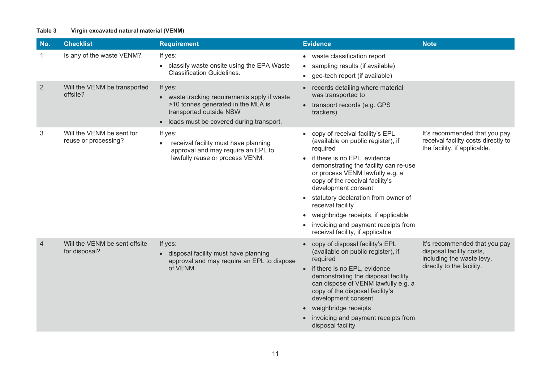#### **Table 3 Virgin excavated natural material (VENM)**

| No.            | <b>Checklist</b>                                  | <b>Requirement</b>                                                                                                                                                             | <b>Evidence</b><br><b>Note</b>                                                                                                                                                                                                                                                                                                                                                                                                                                                                                                                                                |
|----------------|---------------------------------------------------|--------------------------------------------------------------------------------------------------------------------------------------------------------------------------------|-------------------------------------------------------------------------------------------------------------------------------------------------------------------------------------------------------------------------------------------------------------------------------------------------------------------------------------------------------------------------------------------------------------------------------------------------------------------------------------------------------------------------------------------------------------------------------|
|                | Is any of the waste VENM?                         | If yes:<br>• classify waste onsite using the EPA Waste<br><b>Classification Guidelines.</b>                                                                                    | • waste classification report<br>• sampling results (if available)<br>• geo-tech report (if available)                                                                                                                                                                                                                                                                                                                                                                                                                                                                        |
| 2              | Will the VENM be transported<br>offsite?          | If yes:<br>waste tracking requirements apply if waste<br>>10 tonnes generated in the MLA is<br>transported outside NSW<br>loads must be covered during transport.<br>$\bullet$ | • records detailing where material<br>was transported to<br>• transport records (e.g. GPS<br>trackers)                                                                                                                                                                                                                                                                                                                                                                                                                                                                        |
| 3              | Will the VENM be sent for<br>reuse or processing? | If yes:<br>receival facility must have planning<br>$\bullet$<br>approval and may require an EPL to<br>lawfully reuse or process VENM.                                          | • copy of receival facility's EPL<br>It's recommended that you pay<br>receival facility costs directly to<br>(available on public register), if<br>the facility, if applicable.<br>required<br>if there is no EPL, evidence<br>$\bullet$<br>demonstrating the facility can re-use<br>or process VENM lawfully e.g. a<br>copy of the receival facility's<br>development consent<br>• statutory declaration from owner of<br>receival facility<br>• weighbridge receipts, if applicable<br>invoicing and payment receipts from<br>$\bullet$<br>receival facility, if applicable |
| $\overline{4}$ | Will the VENM be sent offsite<br>for disposal?    | If yes:<br>disposal facility must have planning<br>approval and may require an EPL to dispose<br>of VENM.                                                                      | It's recommended that you pay<br>copy of disposal facility's EPL<br>disposal facility costs,<br>(available on public register), if<br>including the waste levy,<br>required<br>directly to the facility.<br>if there is no EPL, evidence<br>demonstrating the disposal facility<br>can dispose of VENM lawfully e.g. a<br>copy of the disposal facility's<br>development consent<br>weighbridge receipts<br>invoicing and payment receipts from<br>disposal facility                                                                                                          |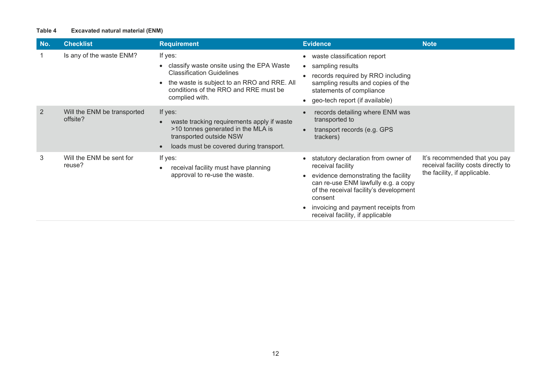#### **Table 4 Excavated natural material (ENM)**

| No.            | <b>Checklist</b>                        | <b>Requirement</b>                                                                                                                                                                                              | <b>Evidence</b>                                                                                                                                                                                                                                                        | <b>Note</b>                                                                                          |
|----------------|-----------------------------------------|-----------------------------------------------------------------------------------------------------------------------------------------------------------------------------------------------------------------|------------------------------------------------------------------------------------------------------------------------------------------------------------------------------------------------------------------------------------------------------------------------|------------------------------------------------------------------------------------------------------|
|                | Is any of the waste ENM?                | If yes:<br>classify waste onsite using the EPA Waste<br><b>Classification Guidelines</b><br>the waste is subject to an RRO and RRE. All<br>$\bullet$<br>conditions of the RRO and RRE must be<br>complied with. | • waste classification report<br>• sampling results<br>records required by RRO including<br>sampling results and copies of the<br>statements of compliance<br>• geo-tech report (if available)                                                                         |                                                                                                      |
| $\overline{2}$ | Will the ENM be transported<br>offsite? | If yes:<br>waste tracking requirements apply if waste<br>$\bullet$<br>>10 tonnes generated in the MLA is<br>transported outside NSW<br>loads must be covered during transport.<br>$\bullet$                     | records detailing where ENM was<br>transported to<br>transport records (e.g. GPS<br>trackers)                                                                                                                                                                          |                                                                                                      |
| 3              | Will the ENM be sent for<br>reuse?      | If yes:<br>receival facility must have planning<br>$\bullet$<br>approval to re-use the waste.                                                                                                                   | statutory declaration from owner of<br>receival facility<br>evidence demonstrating the facility<br>can re-use ENM lawfully e.g. a copy<br>of the receival facility's development<br>consent<br>invoicing and payment receipts from<br>receival facility, if applicable | It's recommended that you pay<br>receival facility costs directly to<br>the facility, if applicable. |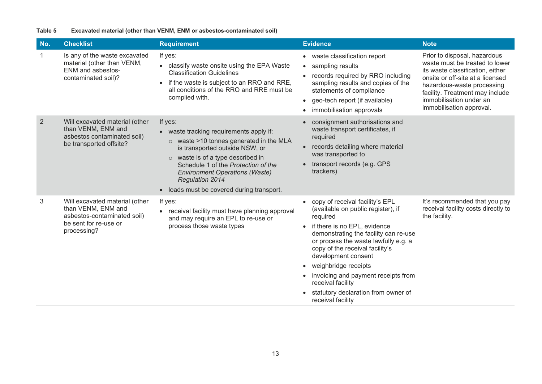#### **Table 5 Excavated material (other than VENM, ENM or asbestos-contaminated soil)**

| No.            | <b>Checklist</b>                                                                                                            | <b>Requirement</b>                                                                                                                                                                                                                                                                                                                                 | <b>Evidence</b>                                                                                                                                                                                                                                                                                                                                                                                                             | <b>Note</b>                                                                                                                                                                                                                                                    |
|----------------|-----------------------------------------------------------------------------------------------------------------------------|----------------------------------------------------------------------------------------------------------------------------------------------------------------------------------------------------------------------------------------------------------------------------------------------------------------------------------------------------|-----------------------------------------------------------------------------------------------------------------------------------------------------------------------------------------------------------------------------------------------------------------------------------------------------------------------------------------------------------------------------------------------------------------------------|----------------------------------------------------------------------------------------------------------------------------------------------------------------------------------------------------------------------------------------------------------------|
| 1              | Is any of the waste excavated<br>material (other than VENM,<br><b>ENM</b> and asbestos-<br>contaminated soil)?              | If yes:<br>• classify waste onsite using the EPA Waste<br><b>Classification Guidelines</b><br>if the waste is subject to an RRO and RRE,<br>$\bullet$<br>all conditions of the RRO and RRE must be<br>complied with.                                                                                                                               | • waste classification report<br>• sampling results<br>records required by RRO including<br>$\bullet$<br>sampling results and copies of the<br>statements of compliance<br>• geo-tech report (if available)<br>immobilisation approvals                                                                                                                                                                                     | Prior to disposal, hazardous<br>waste must be treated to lower<br>its waste classification, either<br>onsite or off-site at a licensed<br>hazardous-waste processing<br>facility. Treatment may include<br>immobilisation under an<br>immobilisation approval. |
| $\overline{2}$ | Will excavated material (other<br>than VENM, ENM and<br>asbestos contaminated soil)<br>be transported offsite?              | If yes:<br>• waste tracking requirements apply if:<br>$\circ$ waste >10 tonnes generated in the MLA<br>is transported outside NSW, or<br>$\circ$ waste is of a type described in<br>Schedule 1 of the Protection of the<br><b>Environment Operations (Waste)</b><br><b>Regulation 2014</b><br>loads must be covered during transport.<br>$\bullet$ | • consignment authorisations and<br>waste transport certificates, if<br>required<br>• records detailing where material<br>was transported to<br>transport records (e.g. GPS<br>trackers)                                                                                                                                                                                                                                    |                                                                                                                                                                                                                                                                |
| 3              | Will excavated material (other<br>than VENM, ENM and<br>asbestos-contaminated soil)<br>be sent for re-use or<br>processing? | If yes:<br>receival facility must have planning approval<br>$\bullet$<br>and may require an EPL to re-use or<br>process those waste types                                                                                                                                                                                                          | • copy of receival facility's EPL<br>(available on public register), if<br>required<br>if there is no EPL, evidence<br>demonstrating the facility can re-use<br>or process the waste lawfully e.g. a<br>copy of the receival facility's<br>development consent<br>weighbridge receipts<br>$\bullet$<br>invoicing and payment receipts from<br>receival facility<br>statutory declaration from owner of<br>receival facility | It's recommended that you pay<br>receival facility costs directly to<br>the facility.                                                                                                                                                                          |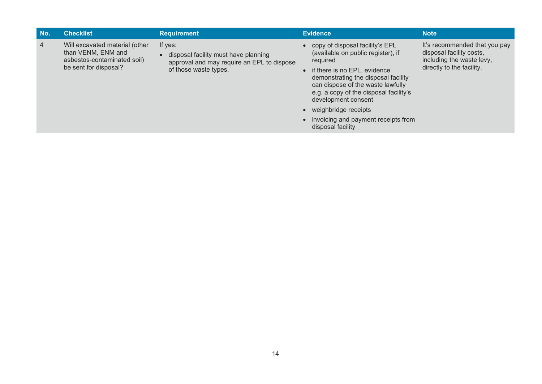| No. | <b>Checklist</b>                                                                                             | <b>Requirement</b>                                                                                                     | <b>Evidence</b>                                                                                                                                                                                                                                                                                                                                            | <b>Note</b>                                                                                                         |
|-----|--------------------------------------------------------------------------------------------------------------|------------------------------------------------------------------------------------------------------------------------|------------------------------------------------------------------------------------------------------------------------------------------------------------------------------------------------------------------------------------------------------------------------------------------------------------------------------------------------------------|---------------------------------------------------------------------------------------------------------------------|
| 4   | Will excavated material (other<br>than VENM, ENM and<br>asbestos-contaminated soil)<br>be sent for disposal? | If yes:<br>disposal facility must have planning<br>approval and may require an EPL to dispose<br>of those waste types. | • copy of disposal facility's EPL<br>(available on public register), if<br>required<br>• if there is no EPL, evidence<br>demonstrating the disposal facility<br>can dispose of the waste lawfully<br>e.g. a copy of the disposal facility's<br>development consent<br>• weighbridge receipts<br>• invoicing and payment receipts from<br>disposal facility | It's recommended that you pay<br>disposal facility costs,<br>including the waste levy,<br>directly to the facility. |
|     |                                                                                                              |                                                                                                                        |                                                                                                                                                                                                                                                                                                                                                            |                                                                                                                     |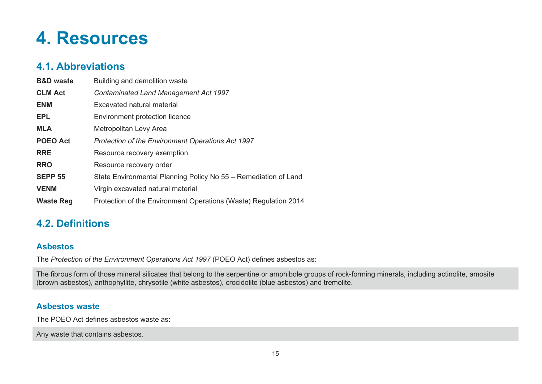# **4. Resources**

## **4.1. Abbreviations**

| <b>B&amp;D</b> waste | Building and demolition waste                                    |
|----------------------|------------------------------------------------------------------|
| <b>CLM Act</b>       | <b>Contaminated Land Management Act 1997</b>                     |
| <b>ENM</b>           | Excavated natural material                                       |
| EPL.                 | <b>Environment protection licence</b>                            |
| <b>MLA</b>           | Metropolitan Levy Area                                           |
| <b>POEO Act</b>      | <b>Protection of the Environment Operations Act 1997</b>         |
| <b>RRE</b>           | Resource recovery exemption                                      |
| <b>RRO</b>           | Resource recovery order                                          |
| <b>SEPP 55</b>       | State Environmental Planning Policy No 55 – Remediation of Land  |
| <b>VENM</b>          | Virgin excavated natural material                                |
| <b>Waste Reg</b>     | Protection of the Environment Operations (Waste) Regulation 2014 |

## <span id="page-16-1"></span><span id="page-16-0"></span>**4.2. Definitions**

### **Asbestos**

The *Protection of the Environment Operations Act 1997* (POEO Act) defines asbestos as:

The fibrous form of those mineral silicates that belong to the serpentine or amphibole groups of rock-forming minerals, including actinolite, amosite (brown asbestos), anthophyllite, chrysotile (white asbestos), crocidolite (blue asbestos) and tremolite.

### **Asbestos waste**

The POEO Act defines asbestos waste as:

<span id="page-16-4"></span><span id="page-16-3"></span><span id="page-16-2"></span>Any waste that contains asbestos.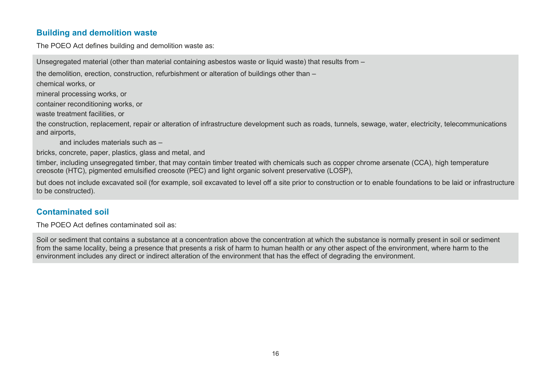### **Building and demolition waste**

The POEO Act defines building and demolition waste as:

Unsegregated material (other than material containing asbestos waste or liquid waste) that results from –

the demolition, erection, construction, refurbishment or alteration of buildings other than –

chemical works, or

mineral processing works, or

container reconditioning works, or

waste treatment facilities, or

the construction, replacement, repair or alteration of infrastructure development such as roads, tunnels, sewage, water, electricity, telecommunications and airports,

and includes materials such as –

bricks, concrete, paper, plastics, glass and metal, and

timber, including unsegregated timber, that may contain timber treated with chemicals such as copper chrome arsenate (CCA), high temperature creosote (HTC), pigmented emulsified creosote (PEC) and light organic solvent preservative (LOSP),

<span id="page-17-0"></span>but does not include excavated soil (for example, soil excavated to level off a site prior to construction or to enable foundations to be laid or infrastructure to be constructed).

### **Contaminated soil**

The POEO Act defines contaminated soil as:

<span id="page-17-1"></span>Soil or sediment that contains a substance at a concentration above the concentration at which the substance is normally present in soil or sediment from the same locality, being a presence that presents a risk of harm to human health or any other aspect of the environment, where harm to the environment includes any direct or indirect alteration of the environment that has the effect of degrading the environment.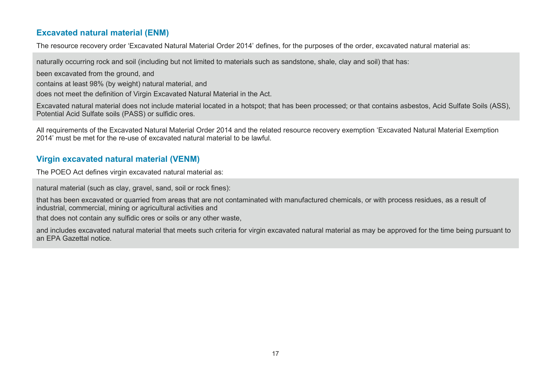### **Excavated natural material (ENM)**

The resource recovery order 'Excavated Natural Material Order 2014' defines, for the purposes of the order, excavated natural material as:

naturally occurring rock and soil (including but not limited to materials such as sandstone, shale, clay and soil) that has:

been excavated from the ground, and

contains at least 98% (by weight) natural material, and

does not meet the definition of Virgin Excavated Natural Material in the Act.

Excavated natural material does not include material located in a hotspot; that has been processed; or that contains asbestos, Acid Sulfate Soils (ASS), Potential Acid Sulfate soils (PASS) or sulfidic ores.

All requirements of the Excavated Natural Material Order 2014 and the related resource recovery exemption 'Excavated Natural Material Exemption 2014' must be met for the re-use of excavated natural material to be lawful.

### **Virgin excavated natural material (VENM)**

The POEO Act defines virgin excavated natural material as:

<span id="page-18-0"></span>natural material (such as clay, gravel, sand, soil or rock fines):

that has been excavated or quarried from areas that are not contaminated with manufactured chemicals, or with process residues, as a result of industrial, commercial, mining or agricultural activities and

that does not contain any sulfidic ores or soils or any other waste,

<span id="page-18-1"></span>and includes excavated natural material that meets such criteria for virgin excavated natural material as may be approved for the time being pursuant to an EPA Gazettal notice.